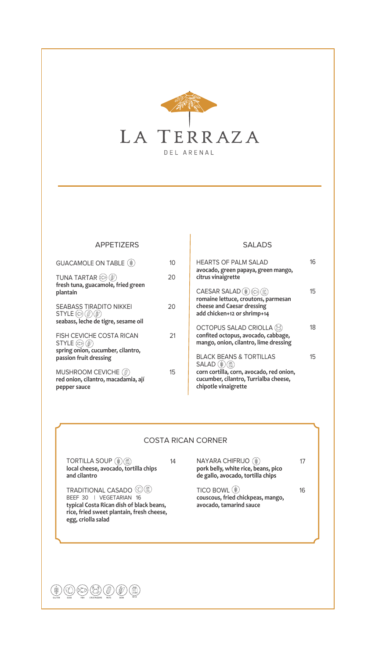

#### APPETIZERS

| <b>GUACAMOLE ON TABLE (\$)</b>                                                                                    | 10 |
|-------------------------------------------------------------------------------------------------------------------|----|
| <b>TUNA TARTAR (S)</b><br>fresh tuna, guacamole, fried green<br>plantain                                          | 20 |
| SEABASS TIRADITO NIKKEI<br>$STYLE$ $\otimes$<br>seabass, leche de tigre, sesame oil                               | 20 |
| <b>FISH CEVICHE COSTA RICAN</b><br>$STYLE$ (2) (2)<br>spring onion, cucumber, cilantro,<br>passion fruit dressing | 21 |
| <b>MUSHROOM CEVICHE</b> (@)<br>red onion, cilantro, macadamia, ají<br>pepper sauce                                | 15 |

# SALADS

| HEARTS OF PALM SALAD<br>avocado, green papaya, green mango,<br>citrus vinaigrette                                                                                  | 16  |
|--------------------------------------------------------------------------------------------------------------------------------------------------------------------|-----|
| CAESAR SALAD (@)<br>romaine lettuce, croutons, parmesan<br>cheese and Caesar dressing<br>add chicken+12 or shrimp+14                                               | 15  |
| <b>OCTOPUS SALAD CRIOLLA</b><br>confited octopus, avocado, cabbage,<br>mango, onion, cilantro, lime dressing                                                       | 18. |
| <b>BLACK BEANS &amp; TORTILLAS</b><br><b>SALAD</b> (#<br>corn cortilla, corn, avocado, red onion,<br>cucumber, cilantro, Turrialba cheese,<br>chipotle vinaigrette | 15  |

## COSTA RICAN CORNER

| <b>TORTILLA SOUP</b><br>local cheese, avocado, tortilla chips<br>and cilantro                                                                                       | 14 | NAYARA CHIFRIJO<br>pork belly, white rice, beans, pico<br>de gallo, avocado, tortilla chips |    |
|---------------------------------------------------------------------------------------------------------------------------------------------------------------------|----|---------------------------------------------------------------------------------------------|----|
| <b>TRADITIONAL CASADO</b><br>BEEF 30   VEGETARIAN 16<br>typical Costa Rican dish of black beans,<br>rice, fried sweet plantain, fresh cheese,<br>egg, criolla salad |    | TICO BOWL (#)<br>couscous, fried chickpeas, mango,<br>avocado, tamarind sauce               | 16 |
|                                                                                                                                                                     |    |                                                                                             |    |